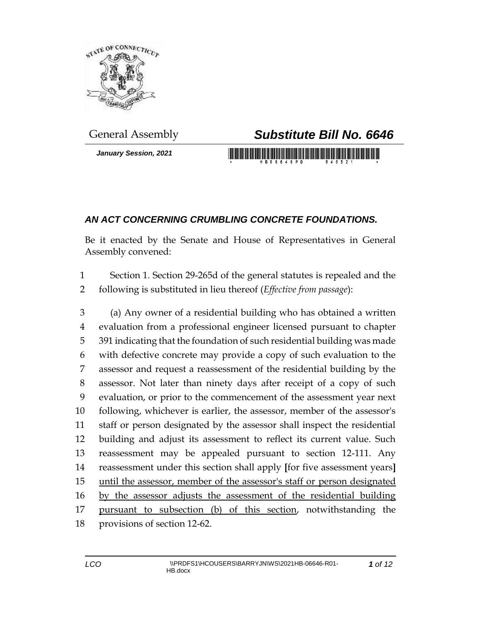

*January Session, 2021*

## General Assembly *Substitute Bill No. 6646*

<u> 1999 - Johann Barbara, martin b</u>

## *AN ACT CONCERNING CRUMBLING CONCRETE FOUNDATIONS.*

Be it enacted by the Senate and House of Representatives in General Assembly convened:

 Section 1. Section 29-265d of the general statutes is repealed and the following is substituted in lieu thereof (*Effective from passage*):

 (a) Any owner of a residential building who has obtained a written evaluation from a professional engineer licensed pursuant to chapter 391 indicating that the foundation of such residential building was made with defective concrete may provide a copy of such evaluation to the assessor and request a reassessment of the residential building by the assessor. Not later than ninety days after receipt of a copy of such evaluation, or prior to the commencement of the assessment year next following, whichever is earlier, the assessor, member of the assessor's staff or person designated by the assessor shall inspect the residential building and adjust its assessment to reflect its current value. Such reassessment may be appealed pursuant to section 12-111. Any reassessment under this section shall apply **[**for five assessment years**]** 15 until the assessor, member of the assessor's staff or person designated by the assessor adjusts the assessment of the residential building pursuant to subsection (b) of this section, notwithstanding the provisions of section 12-62.

*of 12*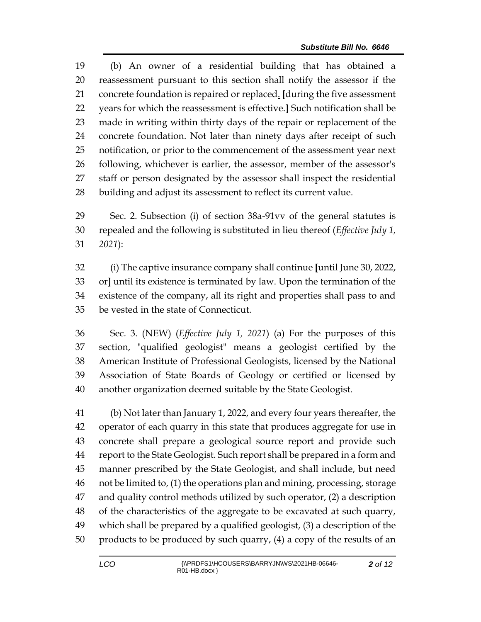(b) An owner of a residential building that has obtained a reassessment pursuant to this section shall notify the assessor if the concrete foundation is repaired or replaced. **[**during the five assessment years for which the reassessment is effective.**]** Such notification shall be made in writing within thirty days of the repair or replacement of the concrete foundation. Not later than ninety days after receipt of such notification, or prior to the commencement of the assessment year next following, whichever is earlier, the assessor, member of the assessor's staff or person designated by the assessor shall inspect the residential building and adjust its assessment to reflect its current value.

 Sec. 2. Subsection (i) of section 38a-91vv of the general statutes is repealed and the following is substituted in lieu thereof (*Effective July 1, 2021*):

 (i) The captive insurance company shall continue **[**until June 30, 2022, or**]** until its existence is terminated by law. Upon the termination of the existence of the company, all its right and properties shall pass to and be vested in the state of Connecticut.

 Sec. 3. (NEW) (*Effective July 1, 2021*) (a) For the purposes of this section, "qualified geologist" means a geologist certified by the American Institute of Professional Geologists, licensed by the National Association of State Boards of Geology or certified or licensed by another organization deemed suitable by the State Geologist.

 (b) Not later than January 1, 2022, and every four years thereafter, the operator of each quarry in this state that produces aggregate for use in concrete shall prepare a geological source report and provide such report to the State Geologist. Such report shall be prepared in a form and manner prescribed by the State Geologist, and shall include, but need not be limited to, (1) the operations plan and mining, processing, storage and quality control methods utilized by such operator, (2) a description of the characteristics of the aggregate to be excavated at such quarry, which shall be prepared by a qualified geologist, (3) a description of the products to be produced by such quarry, (4) a copy of the results of an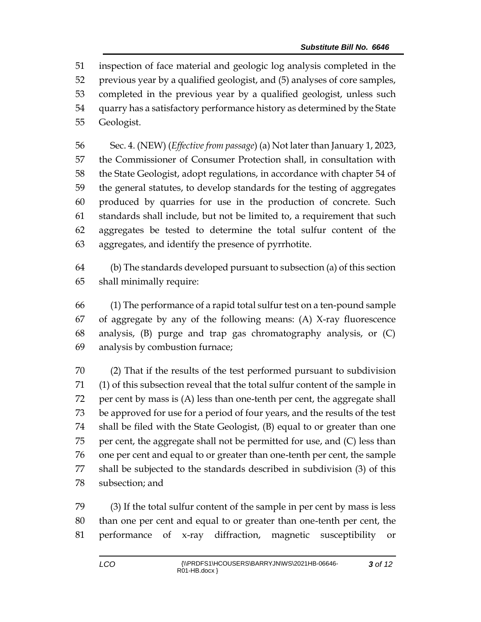inspection of face material and geologic log analysis completed in the previous year by a qualified geologist, and (5) analyses of core samples, completed in the previous year by a qualified geologist, unless such quarry has a satisfactory performance history as determined by the State Geologist.

 Sec. 4. (NEW) (*Effective from passage*) (a) Not later than January 1, 2023, the Commissioner of Consumer Protection shall, in consultation with the State Geologist, adopt regulations, in accordance with chapter 54 of the general statutes, to develop standards for the testing of aggregates produced by quarries for use in the production of concrete. Such standards shall include, but not be limited to, a requirement that such aggregates be tested to determine the total sulfur content of the aggregates, and identify the presence of pyrrhotite.

 (b) The standards developed pursuant to subsection (a) of this section shall minimally require:

 (1) The performance of a rapid total sulfur test on a ten-pound sample of aggregate by any of the following means: (A) X-ray fluorescence analysis, (B) purge and trap gas chromatography analysis, or (C) analysis by combustion furnace;

 (2) That if the results of the test performed pursuant to subdivision (1) of this subsection reveal that the total sulfur content of the sample in per cent by mass is (A) less than one-tenth per cent, the aggregate shall be approved for use for a period of four years, and the results of the test shall be filed with the State Geologist, (B) equal to or greater than one per cent, the aggregate shall not be permitted for use, and (C) less than one per cent and equal to or greater than one-tenth per cent, the sample shall be subjected to the standards described in subdivision (3) of this subsection; and

 (3) If the total sulfur content of the sample in per cent by mass is less than one per cent and equal to or greater than one-tenth per cent, the performance of x-ray diffraction, magnetic susceptibility or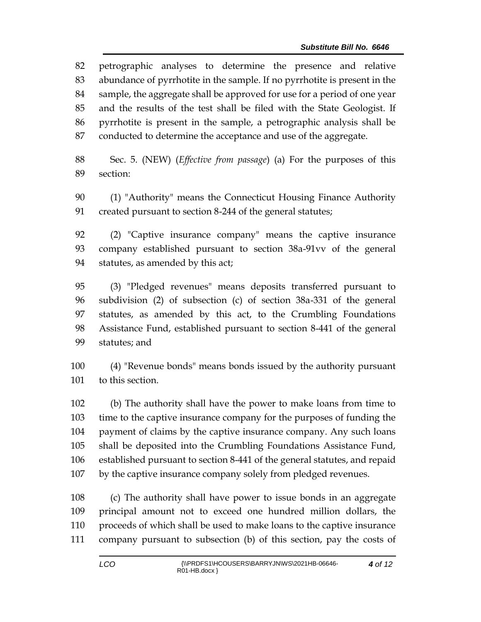petrographic analyses to determine the presence and relative abundance of pyrrhotite in the sample. If no pyrrhotite is present in the sample, the aggregate shall be approved for use for a period of one year and the results of the test shall be filed with the State Geologist. If pyrrhotite is present in the sample, a petrographic analysis shall be conducted to determine the acceptance and use of the aggregate.

 Sec. 5. (NEW) (*Effective from passage*) (a) For the purposes of this section:

 (1) "Authority" means the Connecticut Housing Finance Authority created pursuant to section 8-244 of the general statutes;

 (2) "Captive insurance company" means the captive insurance company established pursuant to section 38a-91vv of the general statutes, as amended by this act;

 (3) "Pledged revenues" means deposits transferred pursuant to subdivision (2) of subsection (c) of section 38a-331 of the general statutes, as amended by this act, to the Crumbling Foundations Assistance Fund, established pursuant to section 8-441 of the general statutes; and

 (4) "Revenue bonds" means bonds issued by the authority pursuant to this section.

 (b) The authority shall have the power to make loans from time to time to the captive insurance company for the purposes of funding the payment of claims by the captive insurance company. Any such loans shall be deposited into the Crumbling Foundations Assistance Fund, established pursuant to section 8-441 of the general statutes, and repaid by the captive insurance company solely from pledged revenues.

 (c) The authority shall have power to issue bonds in an aggregate principal amount not to exceed one hundred million dollars, the proceeds of which shall be used to make loans to the captive insurance company pursuant to subsection (b) of this section, pay the costs of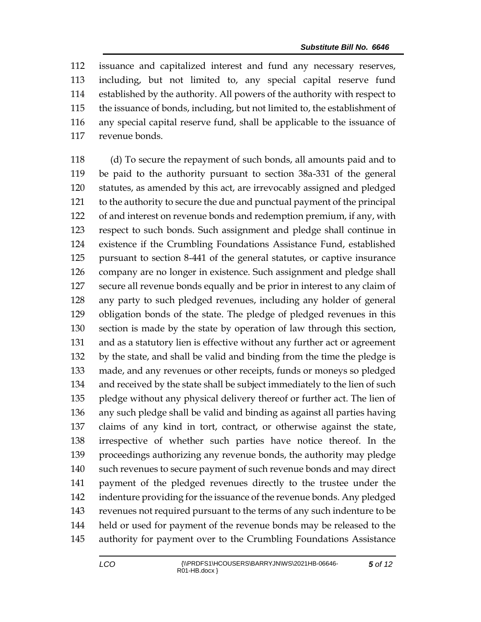issuance and capitalized interest and fund any necessary reserves, including, but not limited to, any special capital reserve fund established by the authority. All powers of the authority with respect to the issuance of bonds, including, but not limited to, the establishment of any special capital reserve fund, shall be applicable to the issuance of revenue bonds.

 (d) To secure the repayment of such bonds, all amounts paid and to be paid to the authority pursuant to section 38a-331 of the general statutes, as amended by this act, are irrevocably assigned and pledged to the authority to secure the due and punctual payment of the principal of and interest on revenue bonds and redemption premium, if any, with respect to such bonds. Such assignment and pledge shall continue in existence if the Crumbling Foundations Assistance Fund, established pursuant to section 8-441 of the general statutes, or captive insurance company are no longer in existence. Such assignment and pledge shall secure all revenue bonds equally and be prior in interest to any claim of any party to such pledged revenues, including any holder of general obligation bonds of the state. The pledge of pledged revenues in this section is made by the state by operation of law through this section, and as a statutory lien is effective without any further act or agreement by the state, and shall be valid and binding from the time the pledge is made, and any revenues or other receipts, funds or moneys so pledged and received by the state shall be subject immediately to the lien of such pledge without any physical delivery thereof or further act. The lien of any such pledge shall be valid and binding as against all parties having claims of any kind in tort, contract, or otherwise against the state, irrespective of whether such parties have notice thereof. In the proceedings authorizing any revenue bonds, the authority may pledge such revenues to secure payment of such revenue bonds and may direct payment of the pledged revenues directly to the trustee under the indenture providing for the issuance of the revenue bonds. Any pledged revenues not required pursuant to the terms of any such indenture to be held or used for payment of the revenue bonds may be released to the authority for payment over to the Crumbling Foundations Assistance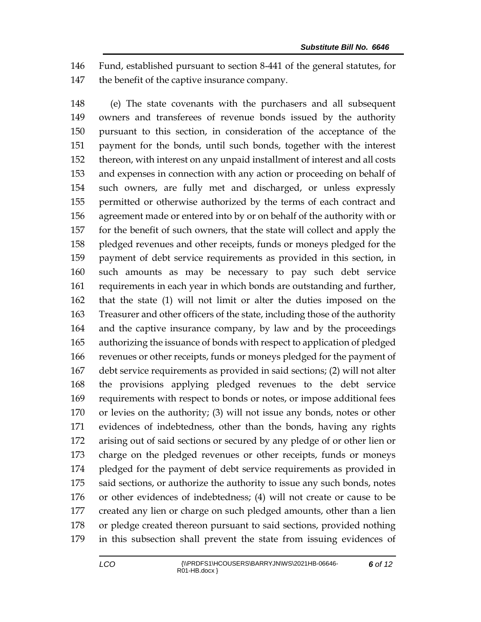Fund, established pursuant to section 8-441 of the general statutes, for the benefit of the captive insurance company.

 (e) The state covenants with the purchasers and all subsequent owners and transferees of revenue bonds issued by the authority pursuant to this section, in consideration of the acceptance of the payment for the bonds, until such bonds, together with the interest thereon, with interest on any unpaid installment of interest and all costs and expenses in connection with any action or proceeding on behalf of such owners, are fully met and discharged, or unless expressly permitted or otherwise authorized by the terms of each contract and agreement made or entered into by or on behalf of the authority with or for the benefit of such owners, that the state will collect and apply the pledged revenues and other receipts, funds or moneys pledged for the payment of debt service requirements as provided in this section, in such amounts as may be necessary to pay such debt service requirements in each year in which bonds are outstanding and further, that the state (1) will not limit or alter the duties imposed on the Treasurer and other officers of the state, including those of the authority and the captive insurance company, by law and by the proceedings authorizing the issuance of bonds with respect to application of pledged revenues or other receipts, funds or moneys pledged for the payment of debt service requirements as provided in said sections; (2) will not alter the provisions applying pledged revenues to the debt service requirements with respect to bonds or notes, or impose additional fees or levies on the authority; (3) will not issue any bonds, notes or other evidences of indebtedness, other than the bonds, having any rights arising out of said sections or secured by any pledge of or other lien or charge on the pledged revenues or other receipts, funds or moneys pledged for the payment of debt service requirements as provided in said sections, or authorize the authority to issue any such bonds, notes or other evidences of indebtedness; (4) will not create or cause to be created any lien or charge on such pledged amounts, other than a lien or pledge created thereon pursuant to said sections, provided nothing in this subsection shall prevent the state from issuing evidences of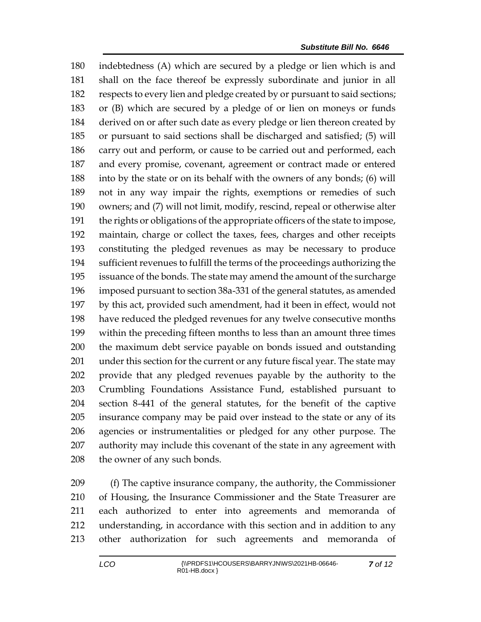indebtedness (A) which are secured by a pledge or lien which is and shall on the face thereof be expressly subordinate and junior in all respects to every lien and pledge created by or pursuant to said sections; or (B) which are secured by a pledge of or lien on moneys or funds derived on or after such date as every pledge or lien thereon created by or pursuant to said sections shall be discharged and satisfied; (5) will carry out and perform, or cause to be carried out and performed, each and every promise, covenant, agreement or contract made or entered into by the state or on its behalf with the owners of any bonds; (6) will not in any way impair the rights, exemptions or remedies of such owners; and (7) will not limit, modify, rescind, repeal or otherwise alter the rights or obligations of the appropriate officers of the state to impose, maintain, charge or collect the taxes, fees, charges and other receipts constituting the pledged revenues as may be necessary to produce sufficient revenues to fulfill the terms of the proceedings authorizing the issuance of the bonds. The state may amend the amount of the surcharge imposed pursuant to section 38a-331 of the general statutes, as amended by this act, provided such amendment, had it been in effect, would not have reduced the pledged revenues for any twelve consecutive months within the preceding fifteen months to less than an amount three times the maximum debt service payable on bonds issued and outstanding under this section for the current or any future fiscal year. The state may provide that any pledged revenues payable by the authority to the Crumbling Foundations Assistance Fund, established pursuant to section 8-441 of the general statutes, for the benefit of the captive insurance company may be paid over instead to the state or any of its agencies or instrumentalities or pledged for any other purpose. The authority may include this covenant of the state in any agreement with 208 the owner of any such bonds.

 (f) The captive insurance company, the authority, the Commissioner of Housing, the Insurance Commissioner and the State Treasurer are each authorized to enter into agreements and memoranda of understanding, in accordance with this section and in addition to any other authorization for such agreements and memoranda of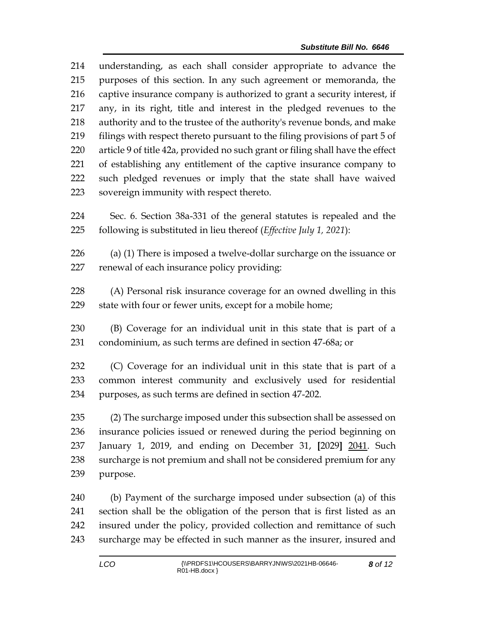understanding, as each shall consider appropriate to advance the purposes of this section. In any such agreement or memoranda, the captive insurance company is authorized to grant a security interest, if any, in its right, title and interest in the pledged revenues to the authority and to the trustee of the authority's revenue bonds, and make filings with respect thereto pursuant to the filing provisions of part 5 of article 9 of title 42a, provided no such grant or filing shall have the effect of establishing any entitlement of the captive insurance company to such pledged revenues or imply that the state shall have waived sovereign immunity with respect thereto.

 Sec. 6. Section 38a-331 of the general statutes is repealed and the following is substituted in lieu thereof (*Effective July 1, 2021*):

 (a) (1) There is imposed a twelve-dollar surcharge on the issuance or renewal of each insurance policy providing:

 (A) Personal risk insurance coverage for an owned dwelling in this state with four or fewer units, except for a mobile home;

 (B) Coverage for an individual unit in this state that is part of a condominium, as such terms are defined in section 47-68a; or

 (C) Coverage for an individual unit in this state that is part of a common interest community and exclusively used for residential purposes, as such terms are defined in section 47-202.

 (2) The surcharge imposed under this subsection shall be assessed on insurance policies issued or renewed during the period beginning on January 1, 2019, and ending on December 31, **[**2029**]** 2041. Such surcharge is not premium and shall not be considered premium for any purpose.

 (b) Payment of the surcharge imposed under subsection (a) of this section shall be the obligation of the person that is first listed as an insured under the policy, provided collection and remittance of such surcharge may be effected in such manner as the insurer, insured and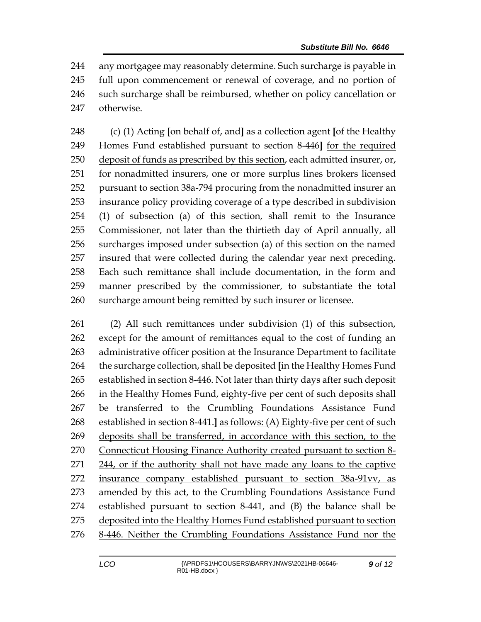any mortgagee may reasonably determine. Such surcharge is payable in full upon commencement or renewal of coverage, and no portion of such surcharge shall be reimbursed, whether on policy cancellation or otherwise.

 (c) (1) Acting **[**on behalf of, and**]** as a collection agent **[**of the Healthy Homes Fund established pursuant to section 8-446**]** for the required deposit of funds as prescribed by this section, each admitted insurer, or, for nonadmitted insurers, one or more surplus lines brokers licensed pursuant to section 38a-794 procuring from the nonadmitted insurer an insurance policy providing coverage of a type described in subdivision (1) of subsection (a) of this section, shall remit to the Insurance Commissioner, not later than the thirtieth day of April annually, all surcharges imposed under subsection (a) of this section on the named insured that were collected during the calendar year next preceding. Each such remittance shall include documentation, in the form and manner prescribed by the commissioner, to substantiate the total surcharge amount being remitted by such insurer or licensee.

 (2) All such remittances under subdivision (1) of this subsection, except for the amount of remittances equal to the cost of funding an administrative officer position at the Insurance Department to facilitate the surcharge collection, shall be deposited **[**in the Healthy Homes Fund established in section 8-446. Not later than thirty days after such deposit in the Healthy Homes Fund, eighty-five per cent of such deposits shall be transferred to the Crumbling Foundations Assistance Fund established in section 8-441.**]** as follows: (A) Eighty-five per cent of such deposits shall be transferred, in accordance with this section, to the Connecticut Housing Finance Authority created pursuant to section 8- 271 244, or if the authority shall not have made any loans to the captive insurance company established pursuant to section 38a-91vv, as amended by this act, to the Crumbling Foundations Assistance Fund established pursuant to section 8-441, and (B) the balance shall be deposited into the Healthy Homes Fund established pursuant to section 8-446. Neither the Crumbling Foundations Assistance Fund nor the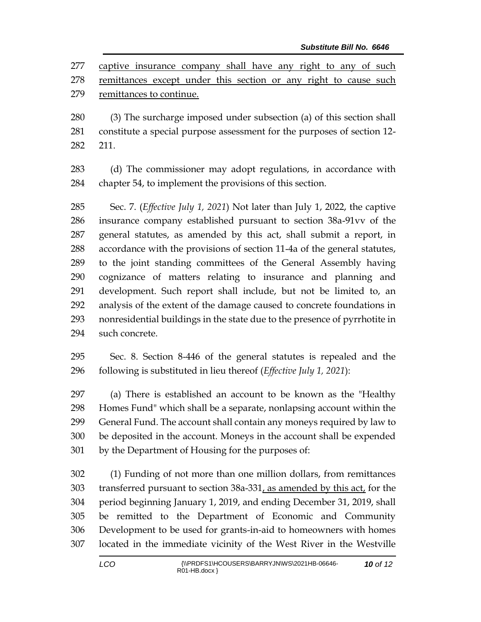captive insurance company shall have any right to any of such remittances except under this section or any right to cause such remittances to continue.

 (3) The surcharge imposed under subsection (a) of this section shall constitute a special purpose assessment for the purposes of section 12- 211.

 (d) The commissioner may adopt regulations, in accordance with chapter 54, to implement the provisions of this section.

 Sec. 7. (*Effective July 1, 2021*) Not later than July 1, 2022, the captive insurance company established pursuant to section 38a-91vv of the general statutes, as amended by this act, shall submit a report, in accordance with the provisions of section 11-4a of the general statutes, to the joint standing committees of the General Assembly having cognizance of matters relating to insurance and planning and development. Such report shall include, but not be limited to, an analysis of the extent of the damage caused to concrete foundations in nonresidential buildings in the state due to the presence of pyrrhotite in such concrete.

 Sec. 8. Section 8-446 of the general statutes is repealed and the following is substituted in lieu thereof (*Effective July 1, 2021*):

 (a) There is established an account to be known as the "Healthy Homes Fund" which shall be a separate, nonlapsing account within the General Fund. The account shall contain any moneys required by law to be deposited in the account. Moneys in the account shall be expended by the Department of Housing for the purposes of:

 (1) Funding of not more than one million dollars, from remittances transferred pursuant to section 38a-331, as amended by this act, for the period beginning January 1, 2019, and ending December 31, 2019, shall be remitted to the Department of Economic and Community Development to be used for grants-in-aid to homeowners with homes located in the immediate vicinity of the West River in the Westville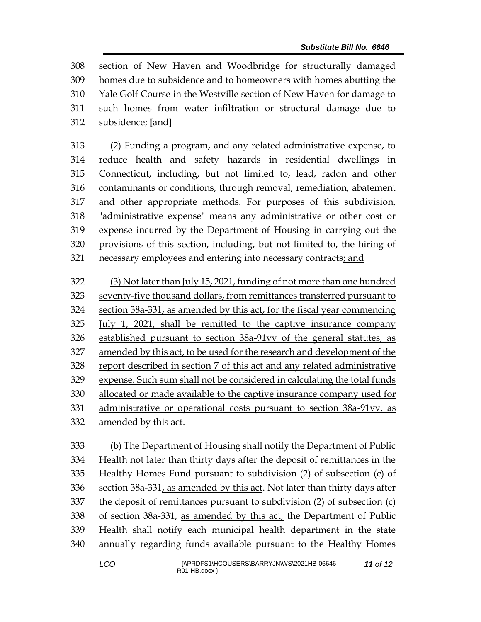section of New Haven and Woodbridge for structurally damaged homes due to subsidence and to homeowners with homes abutting the Yale Golf Course in the Westville section of New Haven for damage to such homes from water infiltration or structural damage due to subsidence; **[**and**]**

 (2) Funding a program, and any related administrative expense, to reduce health and safety hazards in residential dwellings in Connecticut, including, but not limited to, lead, radon and other contaminants or conditions, through removal, remediation, abatement and other appropriate methods. For purposes of this subdivision, "administrative expense" means any administrative or other cost or expense incurred by the Department of Housing in carrying out the provisions of this section, including, but not limited to, the hiring of 321 necessary employees and entering into necessary contracts; and

 (3) Not later than July 15, 2021, funding of not more than one hundred seventy-five thousand dollars, from remittances transferred pursuant to section 38a-331, as amended by this act, for the fiscal year commencing July 1, 2021, shall be remitted to the captive insurance company established pursuant to section 38a-91vv of the general statutes, as amended by this act, to be used for the research and development of the report described in section 7 of this act and any related administrative expense. Such sum shall not be considered in calculating the total funds allocated or made available to the captive insurance company used for administrative or operational costs pursuant to section 38a-91vv, as amended by this act.

 (b) The Department of Housing shall notify the Department of Public Health not later than thirty days after the deposit of remittances in the Healthy Homes Fund pursuant to subdivision (2) of subsection (c) of 336 section  $38a-331$ , as amended by this act. Not later than thirty days after the deposit of remittances pursuant to subdivision (2) of subsection (c) of section 38a-331, as amended by this act, the Department of Public Health shall notify each municipal health department in the state annually regarding funds available pursuant to the Healthy Homes